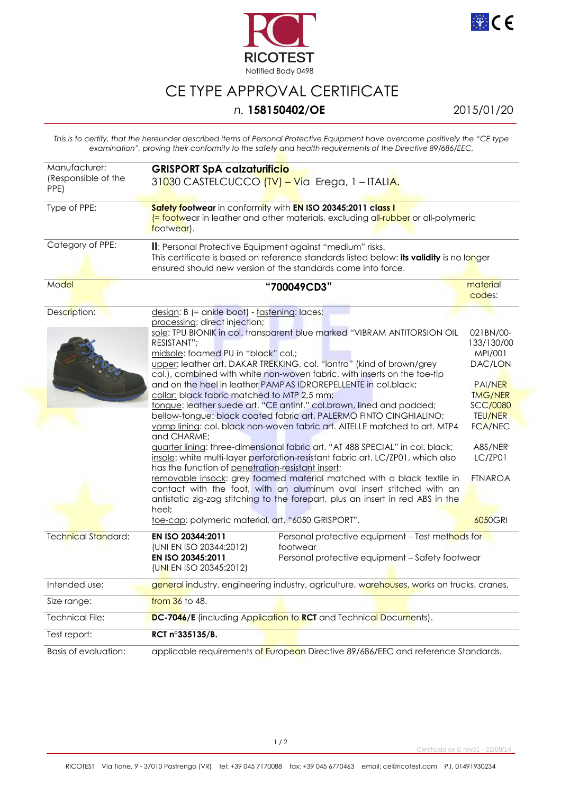



## CE TYPE APPROVAL CERTIFICATE

## *n.* **158150402/OE** 2015/01/20

*This is to certify, that the hereunder described items of Personal Protective Equipment have overcome positively the "CE type examination", proving their conformity to the safety and health requirements of the Directive 89/686/EEC.* 

| Manufacturer:<br>(Responsible of the<br>PPE) | <b>GRISPORT SpA calzaturificio</b><br>31030 CASTELCUCCO (TV) - Via Erega, 1 - ITALIA.                                                                                                                                                                                                                                                                                                                                                                                                                                                                                                                                                                                                                                                                                                                                                                                                                                                                                                                                                                                                                                                                                                                                                                        |                                                                                                                                                                                             |  |
|----------------------------------------------|--------------------------------------------------------------------------------------------------------------------------------------------------------------------------------------------------------------------------------------------------------------------------------------------------------------------------------------------------------------------------------------------------------------------------------------------------------------------------------------------------------------------------------------------------------------------------------------------------------------------------------------------------------------------------------------------------------------------------------------------------------------------------------------------------------------------------------------------------------------------------------------------------------------------------------------------------------------------------------------------------------------------------------------------------------------------------------------------------------------------------------------------------------------------------------------------------------------------------------------------------------------|---------------------------------------------------------------------------------------------------------------------------------------------------------------------------------------------|--|
| Type of PPE:                                 | Safety footwear in conformity with EN ISO 20345:2011 class I<br><mark>(= footw</mark> ear in leather and other materials, excluding all-rubber or all-polymeric<br>footwear).                                                                                                                                                                                                                                                                                                                                                                                                                                                                                                                                                                                                                                                                                                                                                                                                                                                                                                                                                                                                                                                                                |                                                                                                                                                                                             |  |
| Category of PPE:                             | II: Personal Protective Equipment against "medium" risks.<br>This certificate is based on reference standards listed below: its validity is no longer<br>ensured should new version of the standards come into force.                                                                                                                                                                                                                                                                                                                                                                                                                                                                                                                                                                                                                                                                                                                                                                                                                                                                                                                                                                                                                                        |                                                                                                                                                                                             |  |
| Model                                        | "700049CD3"                                                                                                                                                                                                                                                                                                                                                                                                                                                                                                                                                                                                                                                                                                                                                                                                                                                                                                                                                                                                                                                                                                                                                                                                                                                  | material<br>codes:                                                                                                                                                                          |  |
| Description:                                 | design: B (= ankle boot) - fastening: laces;<br>processing: direct injection;<br>sole: TPU BIONIK in col. transparent blue marked "VIBRAM ANTITORSION OIL<br>RESISTANT";<br>midsole: foamed PU in "black" col.;<br>upper: leather art. DAKAR TREKKING, col. "lontra" (kind of brown/grey<br>col.), combined with white non-woven fabric, with inserts on the toe-tip<br>and on the heel in leather PAMPAS IDROREPELLENTE in col.black;<br>collar: black fabric matched to MTP 2,5 mm;<br>tongue: leather suede art. "CE antinf." col.brown, lined and padded;<br>bellow-tongue: black coated fabric art. PALERMO FINTO CINGHIALINO;<br>vamp lining: col. black non-woven fabric art. AITELLE matched to art. MTP4<br>and CHARME;<br>guarter lining: three-dimensional fabric art. "AT 488 SPECIAL" in col. black;<br>insole: white multi-layer perforation-resistant fabric art. LC/ZP01, which also<br>has the function of penetration-resistant insert;<br>removable insock: grey foamed material matched with a black textile in<br>contact with the foot, with an aluminum oval insert stitched with an<br>antistatic zig-zag stitching to the forepart, plus an insert in red ABS in the<br>heel;<br>toe-cap: polymeric material, art. "6050 GRISPORT". | 021BN/00-<br>133/130/00<br>MPI/001<br>DAC/LON<br><b>PAI/NER</b><br><b>TMG/NER</b><br><b>SCC/0080</b><br><b>TEU/NER</b><br><b>FCA/NEC</b><br>A8S/NER<br>LC/ZP01<br><b>FTNAROA</b><br>6050GRI |  |
| Technical Standard:                          | EN ISO 20344:2011<br>Personal protective equipment - Test methods for<br>(UNI EN ISO 20344:2012)<br>footwear<br>EN ISO 20345:2011<br>Personal protective equipment - Safety footwear<br>(UNI EN ISO 20345:2012)                                                                                                                                                                                                                                                                                                                                                                                                                                                                                                                                                                                                                                                                                                                                                                                                                                                                                                                                                                                                                                              |                                                                                                                                                                                             |  |
| Intended use:                                | general industry, engineering industry, agriculture, warehouses, works on trucks, cranes.                                                                                                                                                                                                                                                                                                                                                                                                                                                                                                                                                                                                                                                                                                                                                                                                                                                                                                                                                                                                                                                                                                                                                                    |                                                                                                                                                                                             |  |
| Size range:                                  | from 36 to 48.                                                                                                                                                                                                                                                                                                                                                                                                                                                                                                                                                                                                                                                                                                                                                                                                                                                                                                                                                                                                                                                                                                                                                                                                                                               |                                                                                                                                                                                             |  |
| Technical File:                              | DC-7046/E (including Application to RCT and Technical Documents).                                                                                                                                                                                                                                                                                                                                                                                                                                                                                                                                                                                                                                                                                                                                                                                                                                                                                                                                                                                                                                                                                                                                                                                            |                                                                                                                                                                                             |  |
| Test report:                                 | RCT n°335135/B.                                                                                                                                                                                                                                                                                                                                                                                                                                                                                                                                                                                                                                                                                                                                                                                                                                                                                                                                                                                                                                                                                                                                                                                                                                              |                                                                                                                                                                                             |  |
| Basis of evaluation:                         | applicable requirements of European Directive 89/686/EEC and reference Standards.                                                                                                                                                                                                                                                                                                                                                                                                                                                                                                                                                                                                                                                                                                                                                                                                                                                                                                                                                                                                                                                                                                                                                                            |                                                                                                                                                                                             |  |